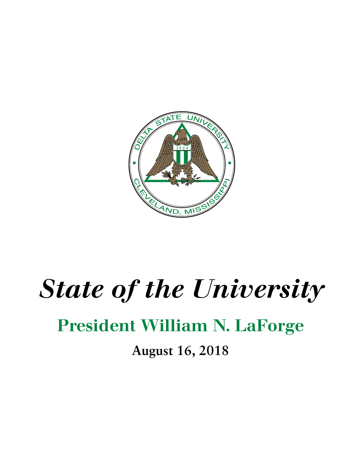

## *State of the University*

## President William N. LaForge

**August 16, 2018**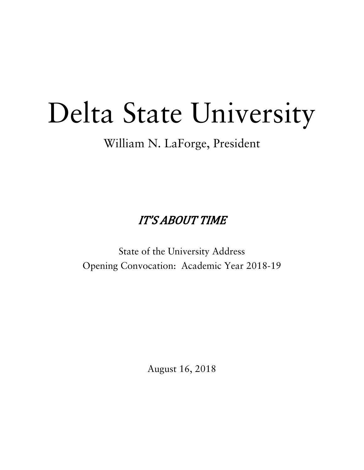## Delta State University

William N. LaForge, President

**IT'S ABOUT TIME** 

State of the University Address Opening Convocation: Academic Year 2018-19

August 16, 2018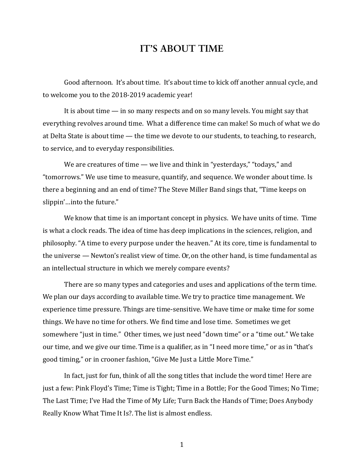## **IT'S ABOUT TIME**

Good afternoon. It's about time. It's about time to kick off another annual cycle, and to welcome you to the 2018-2019 academic year!

It is about time  $-$  in so many respects and on so many levels. You might say that everything revolves around time. What a difference time can make! So much of what we do at Delta State is about time — the time we devote to our students, to teaching, to research, to service, and to everyday responsibilities.

We are creatures of time  $-\omega$  live and think in "yesterdays," "todays," and "tomorrows." We use time to measure, quantify, and sequence. We wonder about time. Is there a beginning and an end of time? The Steve Miller Band sings that, "Time keeps on slippin'...into the future."

We know that time is an important concept in physics. We have units of time. Time is what a clock reads. The idea of time has deep implications in the sciences, religion, and philosophy. "A time to every purpose under the heaven." At its core, time is fundamental to the universe  $-$  Newton's realist view of time. Or, on the other hand, is time fundamental as an intellectual structure in which we merely compare events?

There are so many types and categories and uses and applications of the term time. We plan our days according to available time. We try to practice time management. We experience time pressure. Things are time-sensitive. We have time or make time for some things. We have no time for others. We find time and lose time. Sometimes we get somewhere "just in time." Other times, we just need "down time" or a "time out." We take our time, and we give our time. Time is a qualifier, as in "I need more time," or as in "that's good timing," or in crooner fashion, "Give Me Just a Little More Time."

In fact, just for fun, think of all the song titles that include the word time! Here are just a few: Pink Floyd's Time; Time is Tight; Time in a Bottle; For the Good Times; No Time; The Last Time; I've Had the Time of My Life; Turn Back the Hands of Time; Does Anybody Really Know What Time It Is?. The list is almost endless.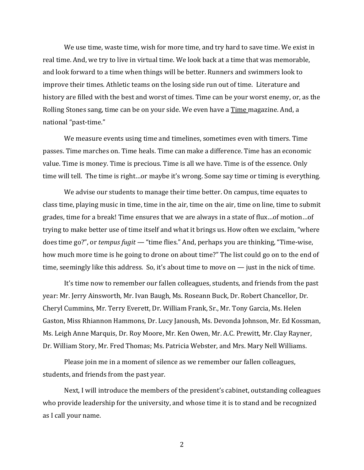We use time, waste time, wish for more time, and try hard to save time. We exist in real time. And, we try to live in virtual time. We look back at a time that was memorable, and look forward to a time when things will be better. Runners and swimmers look to improve their times. Athletic teams on the losing side run out of time. Literature and history are filled with the best and worst of times. Time can be your worst enemy, or, as the Rolling Stones sang, time can be on your side. We even have a Time magazine. And, a national "past-time."

We measure events using time and timelines, sometimes even with timers. Time passes. Time marches on. Time heals. Time can make a difference. Time has an economic value. Time is money. Time is precious. Time is all we have. Time is of the essence. Only time will tell. The time is right...or maybe it's wrong. Some say time or timing is everything.

We advise our students to manage their time better. On campus, time equates to class time, playing music in time, time in the air, time on the air, time on line, time to submit grades, time for a break! Time ensures that we are always in a state of flux...of motion...of trying to make better use of time itself and what it brings us. How often we exclaim, "where does time go?", or *tempus fugit* — "time flies." And, perhaps you are thinking, "Time-wise, how much more time is he going to drone on about time?" The list could go on to the end of time, seemingly like this address. So, it's about time to move on  $-$  just in the nick of time.

It's time now to remember our fallen colleagues, students, and friends from the past year: Mr. Jerry Ainsworth, Mr. Ivan Baugh, Ms. Roseann Buck, Dr. Robert Chancellor, Dr. Cheryl Cummins, Mr. Terry Everett, Dr. William Frank, Sr., Mr. Tony Garcia, Ms. Helen Gaston, Miss Rhiannon Hammons, Dr. Lucy Janoush, Ms. Devonda Johnson, Mr. Ed Kossman, Ms. Leigh Anne Marquis, Dr. Roy Moore, Mr. Ken Owen, Mr. A.C. Prewitt, Mr. Clay Rayner, Dr. William Story, Mr. Fred Thomas; Ms. Patricia Webster, and Mrs. Mary Nell Williams.

Please join me in a moment of silence as we remember our fallen colleagues, students, and friends from the past year.

Next, I will introduce the members of the president's cabinet, outstanding colleagues who provide leadership for the university, and whose time it is to stand and be recognized as I call your name.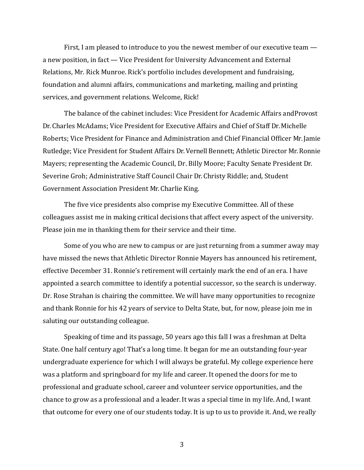First, I am pleased to introduce to you the newest member of our executive team  $$ a new position, in fact — Vice President for University Advancement and External Relations, Mr. Rick Munroe. Rick's portfolio includes development and fundraising, foundation and alumni affairs, communications and marketing, mailing and printing services, and government relations. Welcome, Rick!

The balance of the cabinet includes: Vice President for Academic Affairs and Provost Dr. Charles McAdams: Vice President for Executive Affairs and Chief of Staff Dr. Michelle Roberts; Vice President for Finance and Administration and Chief Financial Officer Mr. Jamie Rutledge; Vice President for Student Affairs Dr. Vernell Bennett; Athletic Director Mr. Ronnie Mayers; representing the Academic Council, Dr. Billy Moore; Faculty Senate President Dr. Severine Groh; Administrative Staff Council Chair Dr. Christy Riddle; and, Student Government Association President Mr. Charlie King.

The five vice presidents also comprise my Executive Committee. All of these colleagues assist me in making critical decisions that affect every aspect of the university. Please join me in thanking them for their service and their time.

Some of you who are new to campus or are just returning from a summer away may have missed the news that Athletic Director Ronnie Mayers has announced his retirement, effective December 31. Ronnie's retirement will certainly mark the end of an era. I have appointed a search committee to identify a potential successor, so the search is underway. Dr. Rose Strahan is chairing the committee. We will have many opportunities to recognize and thank Ronnie for his 42 years of service to Delta State, but, for now, please join me in saluting our outstanding colleague.

Speaking of time and its passage, 50 years ago this fall I was a freshman at Delta State. One half century ago! That's a long time. It began for me an outstanding four-year undergraduate experience for which I will always be grateful. My college experience here was a platform and springboard for my life and career. It opened the doors for me to professional and graduate school, career and volunteer service opportunities, and the chance to grow as a professional and a leader. It was a special time in my life. And, I want that outcome for every one of our students today. It is up to us to provide it. And, we really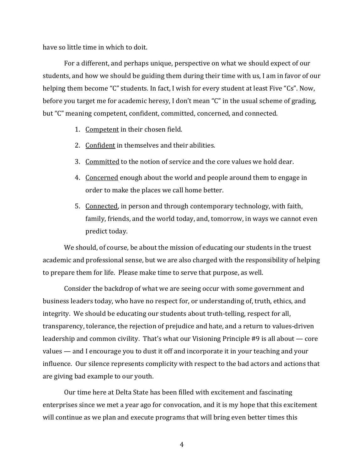have so little time in which to doit.

For a different, and perhaps unique, perspective on what we should expect of our students, and how we should be guiding them during their time with us, I am in favor of our helping them become "C" students. In fact, I wish for every student at least Five "Cs". Now, before you target me for academic heresy, I don't mean "C" in the usual scheme of grading, but "C" meaning competent, confident, committed, concerned, and connected.

- 1. Competent in their chosen field.
- 2. Confident in themselves and their abilities.
- 3. Committed to the notion of service and the core values we hold dear.
- 4. Concerned enough about the world and people around them to engage in order to make the places we call home better.
- 5. Connected, in person and through contemporary technology, with faith, family, friends, and the world today, and, tomorrow, in ways we cannot even predict today.

We should, of course, be about the mission of educating our students in the truest academic and professional sense, but we are also charged with the responsibility of helping to prepare them for life. Please make time to serve that purpose, as well.

Consider the backdrop of what we are seeing occur with some government and business leaders today, who have no respect for, or understanding of, truth, ethics, and integrity. We should be educating our students about truth-telling, respect for all, transparency, tolerance, the rejection of prejudice and hate, and a return to values-driven leadership and common civility. That's what our Visioning Principle  $#9$  is all about — core values — and I encourage you to dust it off and incorporate it in your teaching and your influence. Our silence represents complicity with respect to the bad actors and actions that are giving bad example to our youth.

Our time here at Delta State has been filled with excitement and fascinating enterprises since we met a year ago for convocation, and it is my hope that this excitement will continue as we plan and execute programs that will bring even better times this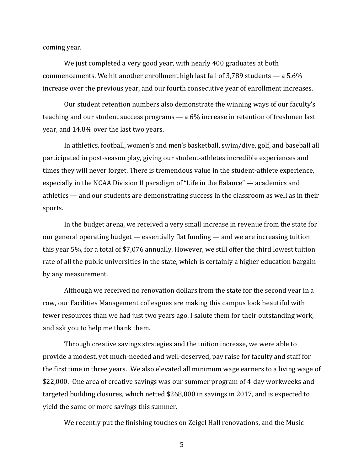coming year.

We just completed a very good year, with nearly 400 graduates at both commencements. We hit another enrollment high last fall of 3,789 students  $-$  a 5.6% increase over the previous year, and our fourth consecutive year of enrollment increases.

Our student retention numbers also demonstrate the winning ways of our faculty's teaching and our student success programs  $-$  a 6% increase in retention of freshmen last year, and 14.8% over the last two years.

In athletics, football, women's and men's basketball, swim/dive, golf, and baseball all participated in post-season play, giving our student-athletes incredible experiences and times they will never forget. There is tremendous value in the student-athlete experience, especially in the NCAA Division II paradigm of "Life in the Balance" — academics and athletics — and our students are demonstrating success in the classroom as well as in their sports. 

In the budget arena, we received a very small increase in revenue from the state for our general operating budget — essentially flat funding — and we are increasing tuition this year 5%, for a total of \$7,076 annually. However, we still offer the third lowest tuition rate of all the public universities in the state, which is certainly a higher education bargain by any measurement.

Although we received no renovation dollars from the state for the second year in a row, our Facilities Management colleagues are making this campus look beautiful with fewer resources than we had just two years ago. I salute them for their outstanding work, and ask you to help me thank them.

Through creative savings strategies and the tuition increase, we were able to provide a modest, yet much-needed and well-deserved, pay raise for faculty and staff for the first time in three years. We also elevated all minimum wage earners to a living wage of \$22,000. One area of creative savings was our summer program of 4-day workweeks and targeted building closures, which netted \$268,000 in savings in 2017, and is expected to yield the same or more savings this summer.

We recently put the finishing touches on Zeigel Hall renovations, and the Music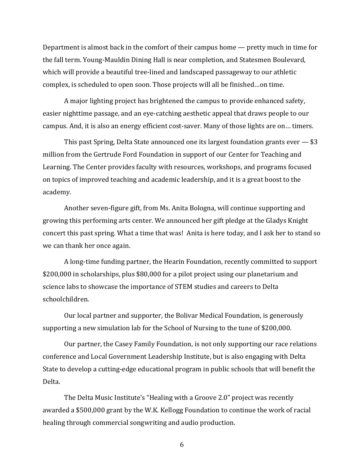Department is almost back in the comfort of their campus home  $-$  pretty much in time for the fall term. Young-Mauldin Dining Hall is near completion, and Statesmen Boulevard, which will provide a beautiful tree-lined and landscaped passageway to our athletic complex, is scheduled to open soon. Those projects will all be finished...on time.

A major lighting project has brightened the campus to provide enhanced safety, easier nighttime passage, and an eye-catching aesthetic appeal that draws people to our campus. And, it is also an energy efficient cost-saver. Many of those lights are on... timers.

This past Spring, Delta State announced one its largest foundation grants ever  $-$  \$3 million from the Gertrude Ford Foundation in support of our Center for Teaching and Learning. The Center provides faculty with resources, workshops, and programs focused on topics of improved teaching and academic leadership, and it is a great boost to the academy. 

Another seven-figure gift, from Ms. Anita Bologna, will continue supporting and growing this performing arts center. We announced her gift pledge at the Gladys Knight concert this past spring. What a time that was! Anita is here today, and I ask her to stand so we can thank her once again.

A long-time funding partner, the Hearin Foundation, recently committed to support \$200,000 in scholarships, plus \$80,000 for a pilot project using our planetarium and science labs to showcase the importance of STEM studies and careers to Delta schoolchildren. 

Our local partner and supporter, the Bolivar Medical Foundation, is generously supporting a new simulation lab for the School of Nursing to the tune of \$200,000.

Our partner, the Casey Family Foundation, is not only supporting our race relations conference and Local Government Leadership Institute, but is also engaging with Delta State to develop a cutting-edge educational program in public schools that will benefit the Delta. 

The Delta Music Institute's "Healing with a Groove 2.0" project was recently awarded a \$500,000 grant by the W.K. Kellogg Foundation to continue the work of racial healing through commercial songwriting and audio production.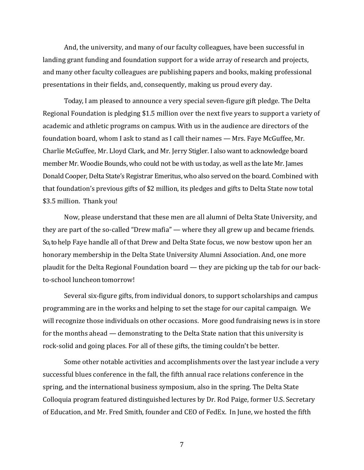And, the university, and many of our faculty colleagues, have been successful in landing grant funding and foundation support for a wide array of research and projects, and many other faculty colleagues are publishing papers and books, making professional presentations in their fields, and, consequently, making us proud every day.

Today, I am pleased to announce a very special seven-figure gift pledge. The Delta Regional Foundation is pledging \$1.5 million over the next five years to support a variety of academic and athletic programs on campus. With us in the audience are directors of the foundation board, whom I ask to stand as I call their names — Mrs. Faye McGuffee, Mr. Charlie McGuffee, Mr. Lloyd Clark, and Mr. Jerry Stigler. I also want to acknowledge board member Mr. Woodie Bounds, who could not be with us today, as well as the late Mr. James Donald Cooper, Delta State's Registrar Emeritus, who also served on the board. Combined with that foundation's previous gifts of \$2 million, its pledges and gifts to Delta State now total \$3.5 million. Thank you!

Now, please understand that these men are all alumni of Delta State University, and they are part of the so-called "Drew mafia" — where they all grew up and became friends. So, to help Faye handle all of that Drew and Delta State focus, we now bestow upon her an honorary membership in the Delta State University Alumni Association. And, one more plaudit for the Delta Regional Foundation board — they are picking up the tab for our backto-school luncheon tomorrow!

Several six-figure gifts, from individual donors, to support scholarships and campus programming are in the works and helping to set the stage for our capital campaign. We will recognize those individuals on other occasions. More good fundraising news is in store for the months ahead — demonstrating to the Delta State nation that this university is rock-solid and going places. For all of these gifts, the timing couldn't be better.

Some other notable activities and accomplishments over the last year include a very successful blues conference in the fall, the fifth annual race relations conference in the spring, and the international business symposium, also in the spring. The Delta State Colloquia program featured distinguished lectures by Dr. Rod Paige, former U.S. Secretary of Education, and Mr. Fred Smith, founder and CEO of FedEx. In June, we hosted the fifth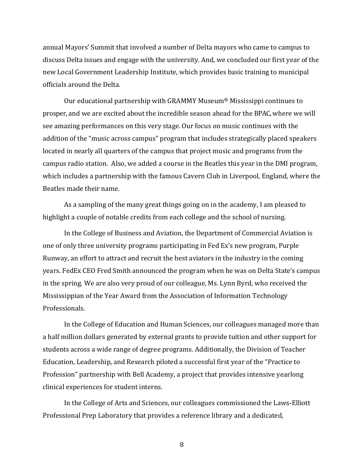annual Mayors' Summit that involved a number of Delta mayors who came to campus to discuss Delta issues and engage with the university. And, we concluded our first year of the new Local Government Leadership Institute, which provides basic training to municipal officials around the Delta.

Our educational partnership with GRAMMY Museum<sup>®</sup> Mississippi continues to prosper, and we are excited about the incredible season ahead for the BPAC, where we will see amazing performances on this very stage. Our focus on music continues with the addition of the "music across campus" program that includes strategically placed speakers located in nearly all quarters of the campus that project music and programs from the campus radio station. Also, we added a course in the Beatles this year in the DMI program, which includes a partnership with the famous Cavern Club in Liverpool, England, where the Beatles made their name.

As a sampling of the many great things going on in the academy, I am pleased to highlight a couple of notable credits from each college and the school of nursing.

In the College of Business and Aviation, the Department of Commercial Aviation is one of only three university programs participating in Fed Ex's new program, Purple Runway, an effort to attract and recruit the best aviators in the industry in the coming years. FedEx CEO Fred Smith announced the program when he was on Delta State's campus in the spring. We are also very proud of our colleague, Ms. Lynn Byrd, who received the Mississippian of the Year Award from the Association of Information Technology Professionals. 

In the College of Education and Human Sciences, our colleagues managed more than a half million dollars generated by external grants to provide tuition and other support for students across a wide range of degree programs. Additionally, the Division of Teacher Education, Leadership, and Research piloted a successful first year of the "Practice to Profession" partnership with Bell Academy, a project that provides intensive yearlong clinical experiences for student interns.

In the College of Arts and Sciences, our colleagues commissioned the Laws-Elliott Professional Prep Laboratory that provides a reference library and a dedicated,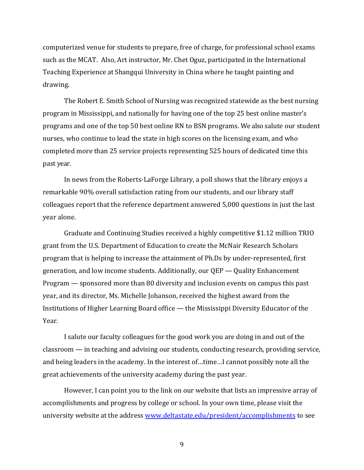computerized venue for students to prepare, free of charge, for professional school exams such as the MCAT. Also, Art instructor, Mr. Chet Oguz, participated in the International Teaching Experience at Shangqui University in China where he taught painting and drawing. 

The Robert E. Smith School of Nursing was recognized statewide as the best nursing program in Mississippi, and nationally for having one of the top 25 best online master's programs and one of the top 50 best online RN to BSN programs. We also salute our student nurses, who continue to lead the state in high scores on the licensing exam, and who completed more than 25 service projects representing 525 hours of dedicated time this past year.

In news from the Roberts-LaForge Library, a poll shows that the library enjoys a remarkable 90% overall satisfaction rating from our students, and our library staff colleagues report that the reference department answered 5,000 questions in just the last year alone.

Graduate and Continuing Studies received a highly competitive \$1.12 million TRIO grant from the U.S. Department of Education to create the McNair Research Scholars program that is helping to increase the attainment of Ph.Ds by under-represented, first generation, and low income students. Additionally, our  $QEP - Q$ uality Enhancement Program — sponsored more than 80 diversity and inclusion events on campus this past year, and its director, Ms. Michelle Johanson, received the highest award from the Institutions of Higher Learning Board office — the Mississippi Diversity Educator of the Year. 

I salute our faculty colleagues for the good work you are doing in and out of the  $classroom - in teaching and adjusting our students, conducting research, providing service,$ and being leaders in the academy. In the interest of...time...I cannot possibly note all the great achievements of the university academy during the past year.

However, I can point you to the link on our website that lists an impressive array of accomplishments and progress by college or school. In your own time, please visit the university website at the address www.deltastate.edu/president/accomplishments to see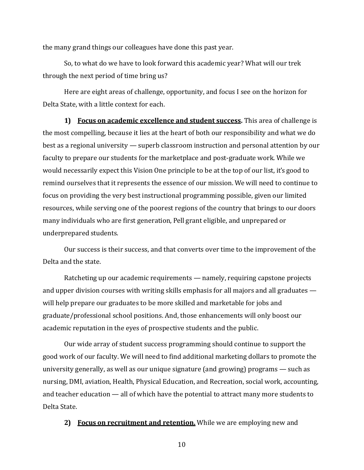the many grand things our colleagues have done this past year.

So, to what do we have to look forward this academic year? What will our trek through the next period of time bring us?

Here are eight areas of challenge, opportunity, and focus I see on the horizon for Delta State, with a little context for each.

**1) Focus** on **academic excellence** and **student success**. This area of challenge is the most compelling, because it lies at the heart of both our responsibility and what we do best as a regional university — superb classroom instruction and personal attention by our faculty to prepare our students for the marketplace and post-graduate work. While we would necessarily expect this Vision One principle to be at the top of our list, it's good to remind ourselves that it represents the essence of our mission. We will need to continue to focus on providing the very best instructional programming possible, given our limited resources, while serving one of the poorest regions of the country that brings to our doors many individuals who are first generation, Pell grant eligible, and unprepared or underprepared students.

Our success is their success, and that converts over time to the improvement of the Delta and the state.

Ratcheting up our academic requirements — namely, requiring capstone projects and upper division courses with writing skills emphasis for all majors and all graduates  $$ will help prepare our graduates to be more skilled and marketable for jobs and graduate/professional school positions. And, those enhancements will only boost our academic reputation in the eyes of prospective students and the public.

Our wide array of student success programming should continue to support the good work of our faculty. We will need to find additional marketing dollars to promote the university generally, as well as our unique signature (and growing) programs  $-$  such as nursing, DMI, aviation, Health, Physical Education, and Recreation, social work, accounting, and teacher education  $-$  all of which have the potential to attract many more students to Delta State.

**2) Focus on recruitment and retention.** While we are employing new and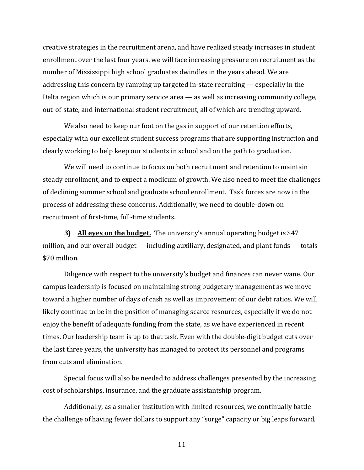creative strategies in the recruitment arena, and have realized steady increases in student enrollment over the last four years, we will face increasing pressure on recruitment as the number of Mississippi high school graduates dwindles in the years ahead. We are addressing this concern by ramping up targeted in-state recruiting  $-$  especially in the Delta region which is our primary service area  $-$  as well as increasing community college, out-of-state, and international student recruitment, all of which are trending upward.

We also need to keep our foot on the gas in support of our retention efforts, especially with our excellent student success programs that are supporting instruction and clearly working to help keep our students in school and on the path to graduation.

We will need to continue to focus on both recruitment and retention to maintain steady enrollment, and to expect a modicum of growth. We also need to meet the challenges of declining summer school and graduate school enrollment. Task forces are now in the process of addressing these concerns. Additionally, we need to double-down on recruitment of first-time, full-time students.

**3) All eves on the budget.** The university's annual operating budget is \$47 million, and our overall budget  $-$  including auxiliary, designated, and plant funds  $-$  totals \$70 million.

Diligence with respect to the university's budget and finances can never wane. Our campus leadership is focused on maintaining strong budgetary management as we move toward a higher number of days of cash as well as improvement of our debt ratios. We will likely continue to be in the position of managing scarce resources, especially if we do not enjoy the benefit of adequate funding from the state, as we have experienced in recent times. Our leadership team is up to that task. Even with the double-digit budget cuts over the last three years, the university has managed to protect its personnel and programs from cuts and elimination.

Special focus will also be needed to address challenges presented by the increasing cost of scholarships, insurance, and the graduate assistantship program.

Additionally, as a smaller institution with limited resources, we continually battle the challenge of having fewer dollars to support any "surge" capacity or big leaps forward,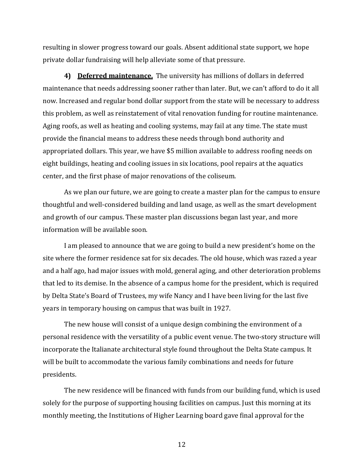resulting in slower progress toward our goals. Absent additional state support, we hope private dollar fundraising will help alleviate some of that pressure.

**4) Deferred maintenance.** The university has millions of dollars in deferred maintenance that needs addressing sooner rather than later. But, we can't afford to do it all now. Increased and regular bond dollar support from the state will be necessary to address this problem, as well as reinstatement of vital renovation funding for routine maintenance. Aging roofs, as well as heating and cooling systems, may fail at any time. The state must provide the financial means to address these needs through bond authority and appropriated dollars. This year, we have \$5 million available to address roofing needs on eight buildings, heating and cooling issues in six locations, pool repairs at the aquatics center, and the first phase of major renovations of the coliseum.

As we plan our future, we are going to create a master plan for the campus to ensure thoughtful and well-considered building and land usage, as well as the smart development and growth of our campus. These master plan discussions began last year, and more information will be available soon.

I am pleased to announce that we are going to build a new president's home on the site where the former residence sat for six decades. The old house, which was razed a year and a half ago, had major issues with mold, general aging, and other deterioration problems that led to its demise. In the absence of a campus home for the president, which is required by Delta State's Board of Trustees, my wife Nancy and I have been living for the last five years in temporary housing on campus that was built in 1927.

The new house will consist of a unique design combining the environment of a personal residence with the versatility of a public event venue. The two-story structure will incorporate the Italianate architectural style found throughout the Delta State campus. It will be built to accommodate the various family combinations and needs for future presidents. 

The new residence will be financed with funds from our building fund, which is used solely for the purpose of supporting housing facilities on campus. Just this morning at its monthly meeting, the Institutions of Higher Learning board gave final approval for the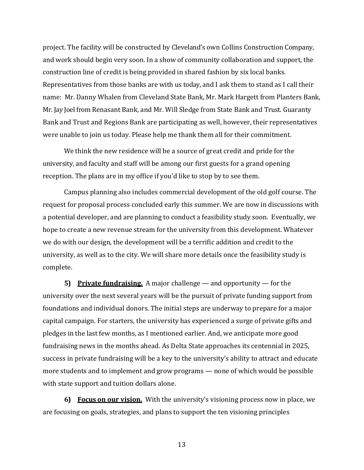project. The facility will be constructed by Cleveland's own Collins Construction Company, and work should begin very soon. In a show of community collaboration and support, the construction line of credit is being provided in shared fashion by six local banks. Representatives from those banks are with us today, and I ask them to stand as I call their name: Mr. Danny Whalen from Cleveland State Bank, Mr. Mark Hargett from Planters Bank, Mr. Jay Joel from Renasant Bank, and Mr. Will Sledge from State Bank and Trust. Guaranty Bank and Trust and Regions Bank are participating as well, however, their representatives were unable to join us today. Please help me thank them all for their commitment.

We think the new residence will be a source of great credit and pride for the university, and faculty and staff will be among our first guests for a grand opening reception. The plans are in my office if you'd like to stop by to see them.

Campus planning also includes commercial development of the old golf course. The request for proposal process concluded early this summer. We are now in discussions with a potential developer, and are planning to conduct a feasibility study soon. Eventually, we hope to create a new revenue stream for the university from this development. Whatever we do with our design, the development will be a terrific addition and credit to the university, as well as to the city. We will share more details once the feasibility study is complete. 

**5)** Private fundraising. A major challenge — and opportunity — for the university over the next several years will be the pursuit of private funding support from foundations and individual donors. The initial steps are underway to prepare for a major capital campaign. For starters, the university has experienced a surge of private gifts and pledges in the last few months, as I mentioned earlier. And, we anticipate more good fundraising news in the months ahead. As Delta State approaches its centennial in 2025, success in private fundraising will be a key to the university's ability to attract and educate more students and to implement and grow programs — none of which would be possible with state support and tuition dollars alone.

**6)** Focus on our vision. With the university's visioning process now in place, we are focusing on goals, strategies, and plans to support the ten visioning principles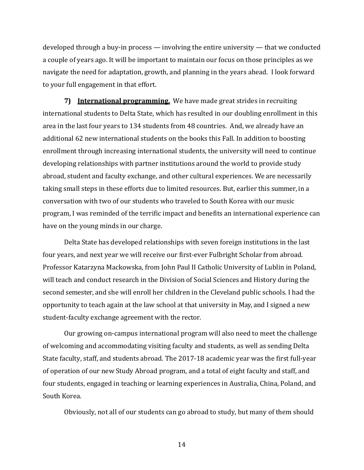developed through a buy-in process — involving the entire university — that we conducted a couple of years ago. It will be important to maintain our focus on those principles as we navigate the need for adaptation, growth, and planning in the years ahead. I look forward to your full engagement in that effort.

**7)** International **programming.** We have made great strides in recruiting international students to Delta State, which has resulted in our doubling enrollment in this area in the last four years to 134 students from 48 countries. And, we already have an additional 62 new international students on the books this Fall. In addition to boosting enrollment through increasing international students, the university will need to continue developing relationships with partner institutions around the world to provide study abroad, student and faculty exchange, and other cultural experiences. We are necessarily taking small steps in these efforts due to limited resources. But, earlier this summer, in a conversation with two of our students who traveled to South Korea with our music program, I was reminded of the terrific impact and benefits an international experience can have on the young minds in our charge.

Delta State has developed relationships with seven foreign institutions in the last four years, and next year we will receive our first-ever Fulbright Scholar from abroad. Professor Katarzyna Mackowska, from John Paul II Catholic University of Lublin in Poland, will teach and conduct research in the Division of Social Sciences and History during the second semester, and she will enroll her children in the Cleveland public schools. I had the opportunity to teach again at the law school at that university in May, and I signed a new student-faculty exchange agreement with the rector.

Our growing on-campus international program will also need to meet the challenge of welcoming and accommodating visiting faculty and students, as well as sending Delta State faculty, staff, and students abroad. The 2017-18 academic year was the first full-year of operation of our new Study Abroad program, and a total of eight faculty and staff, and four students, engaged in teaching or learning experiences in Australia, China, Poland, and South Korea.

Obviously, not all of our students can go abroad to study, but many of them should